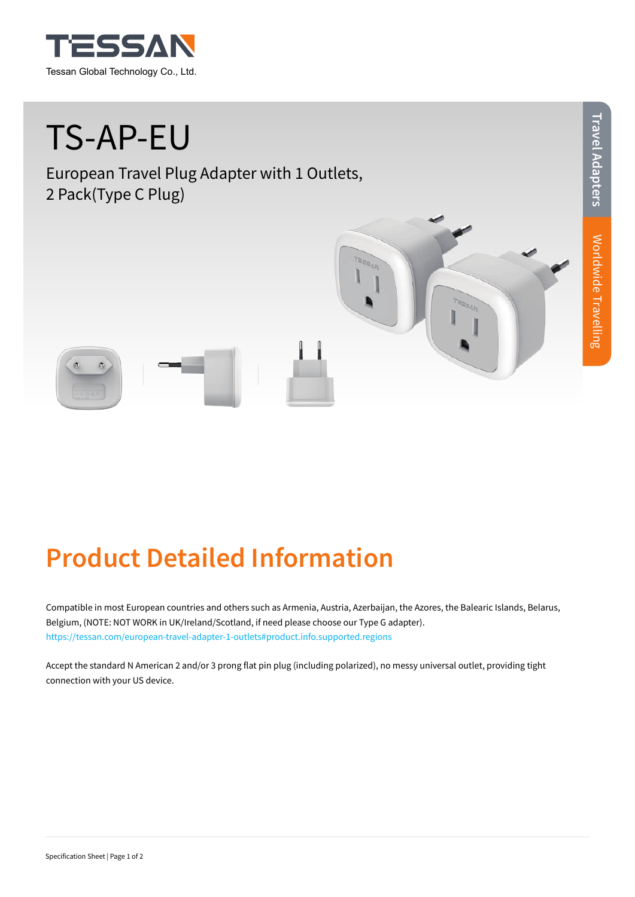

# TS-AP-EU

European Travel Plug Adapter with 1 Outlets, 2 Pack(Type C Plug)

## **Product Detailed Information**

Compatible in most European countries and others such as Armenia, Austria, Azerbaijan, the Azores, the Balearic Islands, Belarus, Belgium, (NOTE: NOT WORK in UK/Ireland/Scotland, if need please choose our Type G adapter). https://tessan.com/european-travel-adapter-1-outlets#product.info.supported.regions

Accept the standard N American 2 and/or 3 prong flat pin plug (including polarized), no messy universal outlet, providing tight connection with your US device.